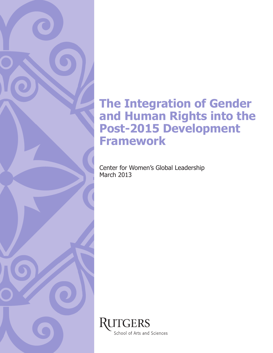## **The Integration of Gender** and Human Rights into the Post-2015 Development **Framework**

Center for Women's Global Leadership March 2013

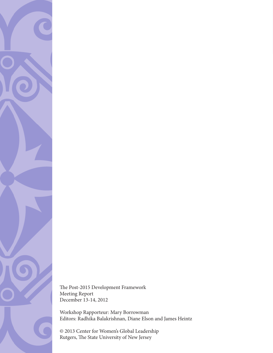

The Post-2015 Development Framework Meeting Report December 13-14, 2012

Workshop Rapporteur: Mary Borrowman Editors: Radhika Balakrishnan, Diane Elson and James Heintz

© 2013 Center for Women's Global Leadership Rutgers, The State University of New Jersey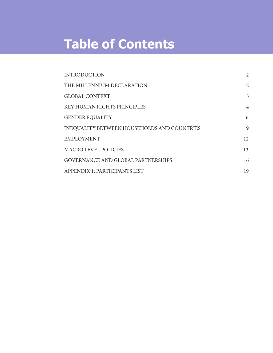# **Table of Contents**

| <b>INTRODUCTION</b>                                | 2              |
|----------------------------------------------------|----------------|
| THE MILLENNIUM DECLARATION                         | 2              |
| <b>GLOBAL CONTEXT</b>                              | 3              |
| <b>KEY HUMAN RIGHTS PRINCIPLES</b>                 | $\overline{4}$ |
| <b>GENDER EQUALITY</b>                             | 6              |
| <b>INEQUALITY BETWEEN HOUSEHOLDS AND COUNTRIES</b> | 9              |
| <b>EMPLOYMENT</b>                                  | 12             |
| <b>MACRO LEVEL POLICIES</b>                        | 13             |
| <b>GOVERNANCE AND GLOBAL PARTNERSHIPS</b>          | 16             |
| APPENDIX 1: PARTICIPANTS LIST                      | 19             |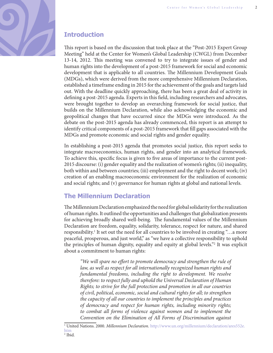

## **Introduction**

This report is based on the discussion that took place at the "Post-2015 Expert Group" Meeting" held at the Center for Women's Global Leadership (CWGL) from December 13-14, 2012. This meeting was convened to try to integrate issues of gender and human rights into the development of a post-2015 framework for social and economic development that is applicable to all countries. The Millennium Development Goals (MDGs), which were derived from the more comprehensive Millennium Declaration, established a timeframe ending in 2015 for the achievement of the goals and targets laid out. With the deadline quickly approaching, there has been a great deal of activity in defining a post-2015 agenda. Experts in this field, including researchers and advocates, were brought together to develop an overarching framework for social justice, that builds on the Millennium Declaration, while also acknowledging the economic and geopolitical changes that have occurred since the MDGs were introduced. As the debate on the post-2015 agenda has already commenced, this report is an attempt to identify critical components of a post-2015 framework that fill gaps associated with the MDGs and promote economic and social rights and gender equality.

In establishing a post-2015 agenda that promotes social justice, this report seeks to integrate macroeconomics, human rights, and gender into an analytical framework. To achieve this, specific focus is given to five areas of importance to the current post-2015 discourse: (i) gender equality and the realization of women's rights; (ii) inequality, both within and between countries; (iii) employment and the right to decent work; (iv) creation of an enabling macroeconomic environment for the realization of economic and social rights; and (v) governance for human rights at global and national levels.

## **The Millennium Declaration**

The Millennium Declaration emphasized the need for global solidarity for the realization of human rights. It outlined the opportunities and challenges that globalization presents for achieving broadly shared well-being. The fundamental values of the Millennium Declaration are freedom, equality, solidarity, tolerance, respect for nature, and shared responsibility.<sup>1</sup> It set out the need for all countries to be involved in creating "…a more peaceful, prosperous, and just world," as "we have a collective responsibility to uphold the principles of human dignity, equality and equity at global levels."2 It was explicit about a commitment to human rights:

"We will spare no effort to promote democracy and strengthen the rule of law, as well as respect for all internationally recognized human rights and fundamental freedoms, including the right to development. We resolve therefore: to respect fully and uphold the Universal Declaration of Human Rights; to strive for the full protection and promotion in all our countries of civil, political, economic, social and cultural rights for all; to strengthen the capacity of all our countries to implement the principles and practices of democracy and respect for human rights, including minority rights; to combat all forms of violence against women and to implement the Convention on the Elimination of All Forms of Discrimination against

<sup>&</sup>lt;sup>1</sup> United Nations. 2000. *Millennium Declaration.* [http://www.un.org/millennium/declaration/ares552e.](http://www.un.org/millennium/declaration/ares552e.htm) [htm](http://www.un.org/millennium/declaration/ares552e.htm)

 $<sup>2</sup>$  Ibid.</sup>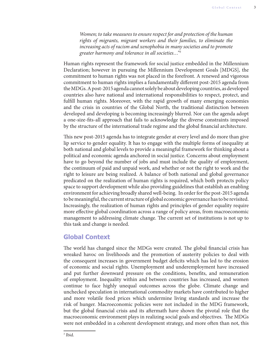Women; to take measures to ensure respect for and protection of the human rights of migrants, migrant workers and their families, to eliminate the increasing acts of racism and xenophobia in many societies and to promote greater harmony and tolerance in all societies…"3

Human rights represent the framework for social justice embedded in the Millennium Declaration; however in pursuing the Millennium Development Goals [MDGS], the commitment to human rights was not placed in the forefront. A renewed and vigorous commitment to human rights implies a fundamentally different post-2015 agenda from the MDGs. A post-2015 agenda cannot solely be about developing countries, as developed countries also have national and international responsibilities to respect, protect, and ful fill human rights. Moreover, with the rapid growth of many emerging economies and the crisis in countries of the Global North, the traditional distinction between developed and developing is becoming increasingly blurred. Nor can the agenda adopt a one-size-fits-all approach that fails to acknowledge the diverse constraints imposed by the structure of the international trade regime and the global financial architecture.

This new post-2015 agenda has to integrate gender at every level and do more than give lip service to gender equality. It has to engage with the multiple forms of inequality at both national and global levels to provide a meaningful framework for thinking about a political and economic agenda anchored in social justice. Concerns about employment have to go beyond the number of jobs and must include the quality of employment, the continuum of paid and unpaid work, and whether or not the right to work and the right to leisure are being realized. A balance of both national and global governance predicated on the realization of human rights is required, which both protects policy space to support development while also providing guidelines that establish an enabling environment for achieving broadly shared well-being. In order for the post-2015 agenda to be meaningful, the current structure of global economic governance has to be revisited. Increasingly, the realization of human rights and principles of gender equality require more effective global coordination across a range of policy areas, from macroeconomic management to addressing climate change. The current set of institutions is not up to this task and change is needed.

## **Global\$Context**

The world has changed since the MDGs were created. The global financial crisis has wreaked havoc on livelihoods and the promotion of austerity policies to deal with the consequent increases in government budget deficits which has led to the erosion of economic and social rights. Unemployment and underemployment have increased and put further downward pressure on the conditions, benefits, and remuneration of employment. Inequality within and between countries has increased, and women continue to face highly unequal outcomes across the globe. Climate change and unchecked speculation in international commodity markets have contributed to higher and more volatile food prices which undermine living standards and increase the risk of hunger. Macroeconomic policies were not included in the MDG framework, but the global financial crisis and its aftermath have shown the pivotal role that the macroeconomic environment plays in realizing social goals and objectives. The MDGs were not embedded in a coherent development strategy, and more often than not, this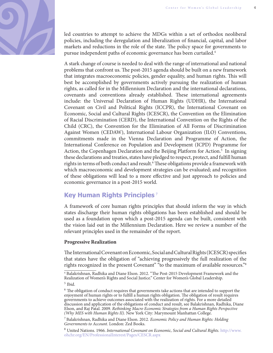

led countries to attempt to achieve the MDGs within a set of orthodox neoliberal policies, including the deregulation and liberalization of financial, capital, and labor markets and reductions in the role of the state. The policy space for governments to pursue independent paths of economic governance has been curtailed.4

A stark change of course is needed to deal with the range of international and national problems that confront us. The post-2015 agenda should be built on a new framework that integrates macroeconomic policies, gender equality, and human rights. This will best be accomplished by governments actively pursuing the realization of human rights, as called for in the Millennium Declaration and the international declarations, covenants and conventions already established. These international agreements include: the Universal Declaration of Human Rights (UDHR), the International Covenant on Civil and Political Rights (ICCPR), the International Covenant on Economic, Social and Cultural Rights (ICESCR), the Convention on the Elimination of Racial Discrimination (CERD), the International Convention on the Rights of the Child (CRC), the Convention for the Elimination of All Forms of Discrimination Against Women (CEDAW), International Labour Organization (ILO) Conventions, commitments made in the Vienna Declaration and Programme of Action, the International Conference on Population and Development (ICPD) Programme for Action, the Copenhagen Declaration and the Beijing Platform for Action.<sup>5</sup> In signing these declarations and treaties, states have pledged to respect, protect, and fulfill human rights in terms of both conduct and result.<sup>6</sup> These obligations provide a framework with which macroeconomic and development strategies can be evaluated; and recognition of these obligations will lead to a more effective and just approach to policies and economic governance in a post-2015 world.

## **Key\$Human\$Rights\$Principles <sup>7</sup>**

A framework of core human rights principles that should inform the way in which states discharge their human rights obligations has been established and should be used as a foundation upon which a post-2015 agenda can be built, consistent with the vision laid out in the Millennium Declaration. Here we review a number of the relevant principles used in the remainder of the report.

## **Progressive Realization**

The International Covenant on Economic, Social and Cultural Rights (ICESCR) specifies that states have the obligation of "achieving progressively the full realization of the rights recognized in the present Covenant" "to the maximum of available resources."8

<sup>&</sup>lt;sup>4</sup> Balakrishnan, Radhika and Diane Elson. 2012. "The Post-2015 Development Framework and the Realization of Women's Rights and Social Justice." Center for Women's Global Leadership.

<sup>5</sup> Ibid.

 $6$  The obligation of conduct requires that governments take actions that are intended to support the enjoyment of human rights or to fulfill a human rights obligation. The obligation of result requires governments to achieve outcomes associated with the realization of rights. For a more detailed discussion and application of the obligations of conduct and result, see Balakrishnan, Radhika, Diane Elson, and Raj Patal. 2009. Rethinking Macro Economic Strategies from a Human Rights Perspective (Why MES with Human Rights II). New York City: Marymount Manhattan College.

<sup>7</sup> Balakrishnan, Radhika and Diane Elson. 2012*.* Economic Policy and Human Rights: Holding Governments to Account. London: Zed Books.

<sup>8</sup> United Nations. 1966. International Covenant on Economic, Social and Cultural Rights. [http://www.](http://www.ohchr.org/EN/ProfessionalInterest/Pages/CESCR.aspx) [ohchr.org/EN/ProfessionalInterest/Pages/CESCR.aspx](http://www.ohchr.org/EN/ProfessionalInterest/Pages/CESCR.aspx)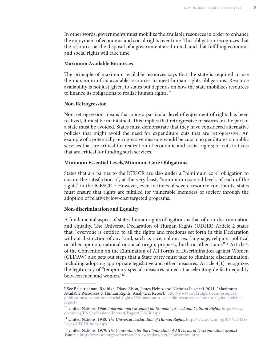In other words, governments must mobilize the available resources in order to enhance the enjoyment of economic and social rights over time. This obligation recognizes that the resources at the disposal of a government are limited, and that fulfilling economic and social rights will take time.

#### **Maximum Available Resources**

The principle of maximum available resources says that the state is required to use the maximum of its available resources to meet human rights obligations. Resource availability is not just 'given' to states but depends on how the state mobilizes resources to finance its obligations to realize human rights.<sup>9</sup>

#### **Non-Retrogression**

Non-retrogression means that once a particular level of enjoyment of rights has been realized, it must be maintained. This implies that retrogressive measures on the part of a state must be avoided. States must demonstrate that they have considered alternative policies that might avoid the need for expenditure cuts that are retrogressive. An example of a potentially retrogressive measure would be cuts to expenditures on public services that are critical for realization of economic and social rights; or cuts to taxes that are critical for funding such services.

#### **Minimum Essential Levels/Minimum Core Obligations**

States that are parties to the ICESCR are also under a "minimum core" obligation to ensure the satisfaction of, at the very least, "minimum essential levels of each of the rights" in the ICESCR.<sup>10</sup> However, even in times of severe resource constraints, states must ensure that rights are fulfilled for vulnerable members of society through the adoption of relatively low-cost targeted programs.

#### **Non-discrimination and Equality**

A fundamental aspect of states' human rights obligations is that of non-discrimination and equality. The Universal Declaration of Human Rights (UDHR) Article 2 states that: "everyone is entitled to all the rights and freedoms set forth in this Declaration without distinction of any kind, such as race, colour, sex, language, religion, political or other opinion, national or social origin, property, birth or other status."11 Article 2 of the Convention on the Elimination of All Forms of Discrimination against Women (CEDAW) also sets out steps that a State party must take to eliminate discrimination, including adopting appropriate legislative and other measures. Article  $4(1)$  recognizes the legitimacy of "temporary special measures aimed at accelerating de facto equality between men and women."12

<sup>9</sup> See Balakrishnan, Radhika, Diane Elson, James Heintz and Nicholas Lusciani. 2011. "Maximum Available Resources & Human Rights: Analytical Report." [http://www.cwgl.rutgers.edu/resources/](http://www.cwgl.rutgers.edu/resources/publications/economic-a-social-rights/380-maximum-available-resources-a-human-rights-analytical-report-) [publications/economic-a-social-rights/380-maximum-available-resources-a-human-rights-analytical](http://www.cwgl.rutgers.edu/resources/publications/economic-a-social-rights/380-maximum-available-resources-a-human-rights-analytical-report-)[report-](http://www.cwgl.rutgers.edu/resources/publications/economic-a-social-rights/380-maximum-available-resources-a-human-rights-analytical-report-)

 $10$  United Nations. 1966. International Covenant on Economic, Social and Cultural Rights. [http://www.](http://www.ohchr.org/EN/ProfessionalInterest/Pages/CESCR.aspx) [ohchr.org/EN/ProfessionalInterest/Pages/CESCR.aspx](http://www.ohchr.org/EN/ProfessionalInterest/Pages/CESCR.aspx)

<sup>&</sup>lt;sup>11</sup> United Nations. 1948. The Universal Declaration of Human Rights. [http://www.ohchr.org/EN/UDHR/](http://www.ohchr.org/EN/UDHR/Pages/UDHRIndex.aspx) [Pages/UDHRIndex.aspx](http://www.ohchr.org/EN/UDHR/Pages/UDHRIndex.aspx)

 $12$  United Nations. 1979. The Convention for the Elimination of All Forms of Discrimination against Women. <http://www.un.org/womenwatch/daw/cedaw/text/econvention.htm>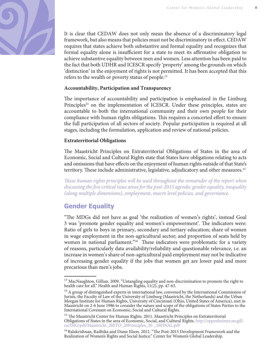

It is clear that CEDAW does not only mean the absence of a discriminatory legal framework, but also means that policies must not be discriminatory in effect. CEDAW requires that states achieve both substantive and formal equality and recognizes that formal equality alone is insufficient for a state to meet its affirmative obligation to achieve substantive equality between men and women. Less attention has been paid to the fact that both UDHR and ICESCR specify 'property' among the grounds on which 'distinction' in the enjoyment of rights is not permitted. It has been accepted that this refers to the wealth or poverty status of people.<sup>13</sup>

### **Accountability, Participation and Transparency**

The importance of accountability and participation is emphasized in the Limburg Principles<sup>14</sup> on the implementation of ICESCR. Under these principles, states are accountable to both the international community and their own people for their compliance with human rights obligations. This requires a concerted effort to ensure the full participation of all sectors of society. Popular participation is required at all stages, including the formulation, application and review of national policies.

### **Extraterritorial Obligations**

The Maastricht Principles on Extraterritorial Obligations of States in the area of Economic, Social and Cultural Rights state that States have obligations relating to acts and omissions that have effects on the enjoyment of human rights outside of that State's territory. These include administrative, legislative, adjudicatory and other measures.<sup>15</sup>

These human rights principles will be used throughout the remainder of the report when discussing the five critical issue areas for the post-2015 agenda: gender equality, inequality (along multiple dimensions), employment, macro level policies, and governance.

## **Gender Equality**

"The MDGs did not have as goal 'the realization of women's rights', instead Goal 3 was 'promote gender equality and women's empowerment'. The indicators were: Ratio of girls to boys in primary, secondary and tertiary education; share of women in wage employment in the non-agricultural sector; and proportion of seats held by women in national parliament."<sup>16</sup> These indicators were problematic for a variety of reasons, particularly data availability/reliability and questionable relevance, i.e. an increase in women's share of non-agricultural paid employment may not be indicative of increasing gender equality if the jobs that women get are lower paid and more precarious than men's jobs.

<sup>&</sup>lt;sup>13</sup> MacNaughton, Gillian. 2009. "Untangling equality and non-discrimination to promote the right to health care for all." Health and Human Rights, 11(2), pp. 47-63.

<sup>&</sup>lt;sup>14</sup> A group of distinguished experts in international law, convened by the International Commission of Jurists, the Faculty of Law of the University of Limburg (Maastricht, the Netherlands) and the Urban Morgan Institute for Human Rights, University of Cincinnati (Ohio, United States of America), met in Maastricht on 2-6 June 1986 to consider the nature and scope of the obligations of States Parties to the International Covenant on Economic, Social and Cultural Rights.

 $^{15}$  The Maastricht Center for Human Rights. 2011. Maastricht Principles on Extraterritorial Obligations of States in the area of Economic, Social, and Cultural Rights. [http://oppenheimer.mcgill.](http://oppenheimer.mcgill.ca/IMG/pdf/Maastricht_20ETO_20Principles_20-_20FINAL.pdf) [ca/IMG/pdf/Maastricht\\_20ETO\\_20Principles\\_20-\\_20FINAL.pdf](http://oppenheimer.mcgill.ca/IMG/pdf/Maastricht_20ETO_20Principles_20-_20FINAL.pdf)

<sup>&</sup>lt;sup>16</sup> Balakrishnan, Radhika and Diane Elson. 2012. "The Post-2015 Development Framework and the Realization of Women's Rights and Social Justice." Center for Women's Global Leadership.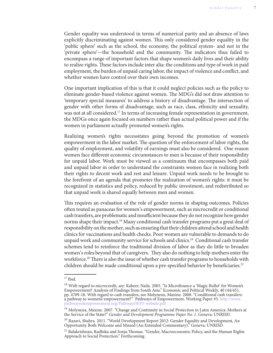Gender equality was understood in terms of numerical parity and an absence of laws explicitly discriminating against women. This only considered gender equality in the 'public sphere' such as the school, the economy, the political system- and not in the 'private sphere'—the household and the community. The indicators thus failed to encompass a range of important factors that shape women's daily lives and their ability to realize rights. These factors include inter alia: the conditions and type of work in paid employment, the burden of unpaid caring labor, the impact of violence and conflict, and whether women have control over their own incomes.

One important implication of this is that it could neglect policies such as the policy to eliminate gender-based violence against women. The MDG's did not draw attention to 'temporary special measures' to address a history of disadvantage. The intersection of gender with other forms of disadvantage, such as race, class, ethnicity and sexuality, was not at all considered.<sup>17</sup> In terms of increasing female representation in government, the MDGs once again focused on numbers rather than actual political power and if the women in parliament actually promoted women's rights.

Realizing women's rights necessitates going beyond the promotion of women's empowerment in the labor market. The question of the enforcement of labor rights, the quality of employment, and volatility of earnings must also be considered. One reason women face different economic circumstances to men is because of their responsibility for unpaid labor. Work must be viewed as a continuum that encompasses both paid and unpaid labor in order to understand the constraints women face in realizing both their rights to decent work and rest and leisure. Unpaid work needs to be brought to the forefront of an agenda that promotes the realization of women's rights: it must be recognized in statistics and policy, reduced by public investment, and redistributed so that unpaid work is shared equally between men and women.

This requires an evaluation of the role of gender norms in shaping outcomes. Policies often touted as panaceas for women's empowerment, such as microcredit or conditional cash transfers, are problematic and insufficient because they do not recognize how gender norms shape their impact.<sup>18</sup> Many conditional cash transfer programs put a great deal of responsibility on the mother, such as ensuring that their children attend school and health clinics for vaccinations and health checks. Poor women are vulnerable to demands to do unpaid work and community service for schools and clinics.19 Conditional cash transfer schemes tend to reinforce the traditional division of labor as they do little to broaden women's roles beyond that of caregivers. They also do nothing to help mothers enter the workforce.<sup>20</sup> There is also the issue of whether cash transfer programs to households with children should be made conditional upon a pre-specified behavior by beneficiaries.<sup>21</sup>

 $17$  Ibid.

<sup>&</sup>lt;sup>18</sup> With regard to microcredit, see: Kabeer, Naila. 2005. "Is Microfinance a 'Magic Bullet' for Women's Empowerment? Analysis of Findings from South Asia." Economic and Political Weekly, 40 (44/45), pp. 4709-18. With regard to cash transfers, see Molyneux, Maxine. 2008. "Conditional cash transfers: a pathway to women's empowerment?" Pathways of Empowerment, Working Paper #5. [http://www.](http://www.pathwaysofempowerment.org/PathwaysWP5-website.pdf) [pathwaysofempowerment.org/PathwaysWP5-website.pdf](http://www.pathwaysofempowerment.org/PathwaysWP5-website.pdf)

<sup>&</sup>lt;sup>19</sup> Molyneux, Maxine. 2007. "Change and Continuity in Social Protection in Latin America: Mothers at the Service of the State?" Gender and Development Programme Paper No. 1. Geneva: UNRISD.

 $^{20}$  Razavi, Shahra. 2011. "World Development Report 2012: Gender Equality and Development, An Opportunity Both Welcome and Missed (An Extended Commentary)." Geneva: UNRISD.

 $^{21}$  Balakrishnan, Radhika and Sonja Thomas. "Gender, Macroeconomic Policy, and the Human Rights Approach to Social Protection." Forthcoming.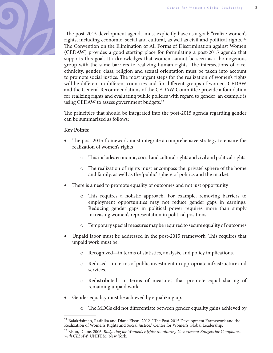

The post-2015 development agenda must explicitly have as a goal: "realize women's rights, including economic, social and cultural, as well as civil and political rights."22 The Convention on the Elimination of All Forms of Discrimination against Women (CEDAW) provides a good starting place for formulating a post-2015 agenda that supports this goal. It acknowledges that women cannot be seen as a homogenous group with the same barriers to realizing human rights. The intersections of race, ethnicity, gender, class, religion and sexual orientation must be taken into account to promote social justice. The most urgent steps for the realization of women's rights will be different in different countries and for different groups of women. CEDAW and the General Recommendations of the CEDAW Committee provide a foundation for realizing rights and evaluating public policies with regard to gender; an example is using CEDAW to assess government budgets.<sup>23</sup>

The principles that should be integrated into the post-2015 agenda regarding gender can be summarized as follows:

## **Key Points:**

- The post-2015 framework must integrate a comprehensive strategy to ensure the realization of women's rights
	- $\circ$  This includes economic, social and cultural rights and civil and political rights.
	- o The realization of rights must encompass the 'private' sphere of the home and family, as well as the 'public' sphere of politics and the market.
- There is a need to promote equality of outcomes and not just opportunity
	- o This requires a holistic approach. For example, removing barriers to employment opportunities may not reduce gender gaps in earnings. Reducing gender gaps in political power requires more than simply increasing women's representation in political positions.
	- Temporary special measures may be required to secure equality of outcomes
- Unpaid labor must be addressed in the post-2015 framework. This requires that unpaid work must be:
	- o Recognized—in terms of statistics, analysis, and policy implications.
	- o Reduced—in terms of public investment in appropriate infrastructure and services.
	- o Redistributed—in terms of measures that promote equal sharing of remaining unpaid work.
- Gender equality must be achieved by equalizing up.
	- $\circ$  The MDGs did not differentiate between gender equality gains achieved by

 $22$  Balakrishnan, Radhika and Diane Elson. 2012. "The Post-2015 Development Framework and the Realization of Women's Rights and Social Justice." Center for Women's Global Leadership.

<sup>&</sup>lt;sup>23</sup> Elson, Diane. 2006. Budgeting for Women's Rights: Monitoring Government Budgets for Compliance with CEDAW. UNIFEM. New York.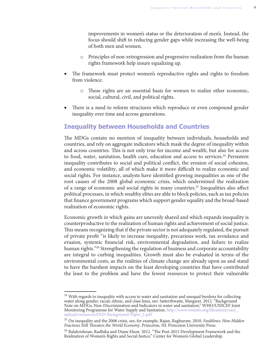improvements in women's status or the deterioration of men's. Instead, the focus should shift to reducing gender gaps while increasing the well-being of both men and women.

- o Principles of non-retrogression and progressive realization from the human rights framework help insure equalizing up.
- The framework must protect women's reproductive rights and rights to freedom from violence.
	- o These rights are an essential basis for women to realize other economic, social, cultural, civil, and political rights.
- There is a need to reform structures which reproduce or even compound gender inequality over time and across generations.

## **Inequality between Households and Countries**

The MDGs contain no mention of inequality between individuals, households and countries, and rely on aggregate indicators which mask the degree of inequality within and across countries. This is not only true for income and wealth, but also for access to food, water, sanitation, health care, education and access to services.<sup>24</sup> Persistent inequality contributes to social and political conflict, the erosion of social cohesion, and economic volatility, all of which make it more difficult to realize economic and social rights. For instance, analysts have identified growing inequalities as one of the root causes of the 2008 global economic crisis, which undermined the realization of a range of economic and social rights in many countries.<sup>25</sup> Inequalities also affect political processes, in which wealthy elites are able to block policies, such as tax policies that finance government programs which support gender equality and the broad-based realization of economic rights.

Economic growth in which gains are unevenly shared and which expands inequality is counterproductive to the realization of human rights and achievement of social justice. This means recognizing that if the private sector is not adequately regulated, the pursuit of private profit "is likely to increase inequality, precarious work, tax avoidance and evasion, systemic financial risk, environmental degradation, and failure to realize human rights."<sup>26</sup> Strengthening the regulation of business and corporate accountability are integral to curbing inequalities. Growth must also be evaluated in terms of the environmental costs, as the realities of climate change are already upon us and stand to have the harshest impacts on the least developing countries that have contributed the least to the problem and have the fewest resources to protect their vulnerable

 $^{24}$  With regards to inequality with access to water and sanitation and unequal burdens for collecting water along gender, racial, ethnic, and class lines, see: Satterthwaite, Margaret. 2012. "Background Note on MDGs, Non-Discrimination and Indicators in water and sanitation." WHO/UNICEF Joint Monitoring Programme for Water Supply and Sanitation. [http://www.wssinfo.org/fileadmin/user\\_](http://www.wssinfo.org/fileadmin/user_upload/resources/END-Background-Paper_1.pdf) [upload/resources/END-Background-Paper\\_1.pdf](http://www.wssinfo.org/fileadmin/user_upload/resources/END-Background-Paper_1.pdf)

<sup>&</sup>lt;sup>25</sup> On inequality and the 2008 crisis, see, for example, Rajan, Raghuram. 2010. Faultlines: How Hidden Fractures Still Threaten the World Economy. Princeton, NJ: Princeton University Press.

 $^{26}$  Balakrishnan, Radhika and Diane Elson. 2012. "The Post-2015 Development Framework and the Realization of Women's Rights and Social Justice." Center for Women's Global Leadership.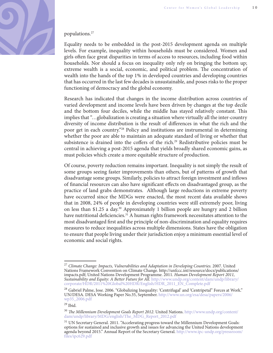

#### populations.27

Equality needs to be embedded in the post-2015 development agenda on multiple levels. For example, inequality within households must be considered. Women and girls often face great disparities in terms of access to resources, including food within households. Nor should a focus on inequality only rely on bringing the bottom up; extreme wealth is a social, economic, and political problem. The concentration of wealth into the hands of the top 1% in developed countries and developing countries that has occurred in the last few decades is unsustainable, and poses risks to the proper functioning of democracy and the global economy.

Research has indicated that changes in the income distribution across countries of varied development and income levels have been driven by changes at the top decile and the bottom four deciles, while the middle has stayed relatively constant. This implies that "…globalization is creating a situation where virtually all the inter-country diversity of income distribution is the result of differences in what the rich and the poor get in each country."28 Policy and institutions are instrumental in determining whether the poor are able to maintain an adequate standard of living or whether that subsistence is drained into the coffers of the rich.<sup>29</sup> Redistributive policies must be central in achieving a post-2015 agenda that yields broadly shared economic gains, as must policies which create a more equitable structure of production.

Of course, poverty reduction remains important. Inequality is not simply the result of some groups seeing faster improvements than others, but of patterns of growth that disadvantage some groups. Similarly, policies to attract foreign investment and inflows of financial resources can also have significant effects on disadvantaged group, as the practice of land grabs demonstrates. Although large reductions in extreme poverty have occurred since the MDGs were enacted, the most recent data available shows that in 2008, 24% of people in developing countries were still extremely poor, living on less than \$1.25 a day.30 Approximately 1 billion people are hungry and 2 billion have nutritional deficiencies.<sup>31</sup> A human rights framework necessitates attention to the most disadvantaged first and the principle of non-discrimination and equality requires measures to reduce inequalities across multiple dimensions. States have the obligation to ensure that people living under their jurisdiction enjoy a minimum essential level of economic and social rights.

 $^{27}$  Climate Change: Impacts, Vulnerabilities and Adaptation in Developing Countries. 2007. United Nations Framework Convention on Climate Change. http://unfccc.int/resource/docs/publications/ impacts.pdf; United Nations Development Programme. 2011. Human Development Report 2011, Sustainability and Equity: A Better Future for All. [http://www.undp.org/content/dam/undp/library/](http://www.undp.org/content/dam/undp/library/corporate/HDR/2011%20Global%20HDR/English/HDR_2011_EN_Complete.pdf) [corporate/HDR/2011%20Global%20HDR/English/HDR\\_2011\\_EN\\_Complete.pdf](http://www.undp.org/content/dam/undp/library/corporate/HDR/2011%20Global%20HDR/English/HDR_2011_EN_Complete.pdf)

<sup>&</sup>lt;sup>28</sup> Gabriel Palme, Jose. 2006. "Globalizing Inequality: 'Centrifugal' and 'Centripetal'' Forces at Work." UN/DESA. DESA Working Paper No.35, September. [http://www.un.org/esa/desa/papers/2006/](http://www.un.org/esa/desa/papers/2006/wp35_2006.pdf) [wp35\\_2006.pdf](http://www.un.org/esa/desa/papers/2006/wp35_2006.pdf)

<sup>29</sup> Ibid.

 $30$  The Millennium Development Goals Report 2012. United Nations. [http://www.undp.org/content/](http://www.undp.org/content/dam/undp/library/MDG/english/The_MDG_Report_2012.pdf) [dam/undp/library/MDG/english/The\\_MDG\\_Report\\_2012.pdf](http://www.undp.org/content/dam/undp/library/MDG/english/The_MDG_Report_2012.pdf)

<sup>&</sup>lt;sup>31</sup> UN Secretary General. 2011. "Accelerating progress toward the Millennium Development Goals: options for sustained and inclusive growth and issues for advancing the United Nations development agenda beyond 2015." Annual Report of the Secretary General. [http://www.ipc-undp.org/pressroom/](http://www.ipc-undp.org/pressroom/files/ipc629.pdf) [files/ipc629.pdf](http://www.ipc-undp.org/pressroom/files/ipc629.pdf)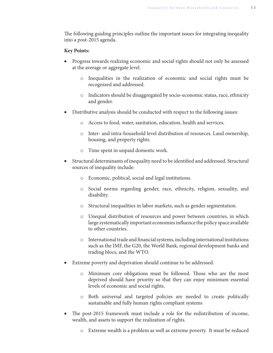The following guiding principles outline the important issues for integrating inequality into a post-2015 agenda.

#### **Key Points:**

- x Progress towards realizing economic and social rights should not only be assessed at the average or aggregate level.
	- o Inequalities in the realization of economic and social rights must be recognized and addressed.
	- o Indicators should be disaggregated by socio-economic status, race, ethnicity and gender.
- Distributive analysis should be conducted with respect to the following issues:
	- o Access to food, water, sanitation, education, health and services.
	- o Inter- and intra-household level distribution of resources. Land ownership, housing, and property rights.
	- o Time spent in unpaid domestic work.
- Structural determinants of inequality need to be identified and addressed. Structural sources of inequality include:
	- o Economic, political, social and legal institutions.
	- o Social norms regarding gender, race, ethnicity, religion, sexuality, and disability.
	- o Structural inequalities in labor markets, such as gender segmentation.
	- o Unequal distribution of resources and power between countries, in which large systematically important economies influence the policy space available to other countries.
	- $\circ$  International trade and financial systems, including international institutions such as the IMF, the G20, the World Bank, regional development banks and trading blocs, and the WTO.
- Extreme poverty and deprivation should continue to be addressed.
	- $\circ$  Minimum core obligations must be followed. Those who are the most deprived should have priority so that they can enjoy minimum essential levels of economic and social rights.
	- o Both universal and targeted policies are needed to create politically sustainable and fully human rights compliant systems
- The post-2015 framework must include a role for the redistribution of income, wealth, and assets to support the realization of rights.
	- o Extreme wealth is a problem as well as extreme poverty. It must be reduced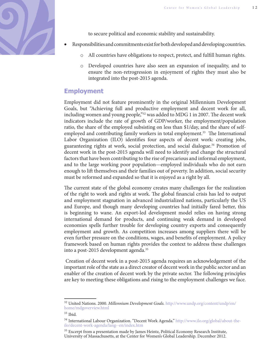

to secure political and economic stability and sustainability.

- x Responsibilities and commitments exist for both developed and developing countries.
	- All countries have obligations to respect, protect, and fulfill human rights.
	- o Developed countries have also seen an expansion of inequality, and to ensure the non-retrogression in enjoyment of rights they must also be integrated into the post-2015 agenda.

## **Employment**

Employment did not feature prominently in the original Millennium Development Goals, but "Achieving full and productive employment and decent work for all, including women and young people,"<sup>32</sup> was added to MDG 1 in 2007. The decent work indicators include the rate of growth of GDP/worker, the employment/population ratio, the share of the employed subsisting on less than \$1/day, and the share of selfemployed and contributing family workers in total employment.<sup>33</sup> The International Labor Organization (ILO) identifies four aspects of decent work: creating jobs, guaranteeing rights at work, social protection, and social dialogue.<sup>34</sup> Promotion of decent work in the post-2015 agenda will need to identify and change the structural factors that have been contributing to the rise of precarious and informal employment, and to the large working poor population—employed individuals who do not earn enough to lift themselves and their families out of poverty. In addition, social security must be reformed and expanded so that it is enjoyed as a right by all.

The current state of the global economy creates many challenges for the realization of the right to work and rights at work. The global financial crisis has led to output and employment stagnation in advanced industrialized nations, particularly the US and Europe, and though many developing countries had initially fared better, this is beginning to wane. An export-led development model relies on having strong international demand for products, and continuing weak demand in developed economies spells further trouble for developing country exports and consequently employment and growth. As competition increases among suppliers there will be even further pressure on the conditions, wages, and benefits of employment. A policy framework based on human rights provides the context to address these challenges into a post-2015 development agenda.35

 Creation of decent work in a post-2015 agenda requires an acknowledgement of the important role of the state as a direct creator of decent work in the public sector and an enabler of the creation of decent work by the private sector. The following principles are key to meeting these obligations and rising to the employment challenges we face.

<sup>&</sup>lt;sup>32</sup> United Nations. 2000. Millennium Development Goals. [http://www.undp.org/content/undp/en/](http://www.undp.org/content/undp/en/home/mdgoverview.html) [home/mdgoverview.html](http://www.undp.org/content/undp/en/home/mdgoverview.html)

 $33$  Ibid.

<sup>34</sup> International Labour Organization. "Decent Work Agenda." [http://www.ilo.org/global/about-the](http://www.ilo.org/global/about-the-ilo/decent-work-agenda/lang--en/index.htm)[ilo/decent-work-agenda/lang--en/index.htm](http://www.ilo.org/global/about-the-ilo/decent-work-agenda/lang--en/index.htm)

<sup>&</sup>lt;sup>35</sup> Excerpt from a presentation made by James Heintz, Political Economy Research Institute, University of Massachusetts, at the Center for Women's Global Leadership. December 2012.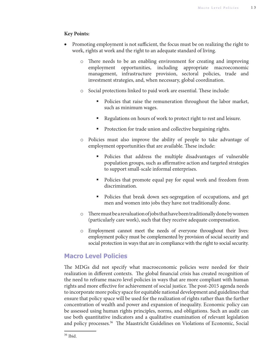## **Key Points:**

- Promoting employment is not sufficient, the focus must be on realizing the right to work, rights at work and the right to an adequate standard of living.
	- $\circ$  There needs to be an enabling environment for creating and improving employment opportunities, including appropriate macroeconomic management, infrastructure provision, sectoral policies, trade and investment strategies, and, when necessary, global coordination.
	- o Social protections linked to paid work are essential. These include:
		- Policies that raise the remuneration throughout the labor market, such as minimum wages.
		- Regulations on hours of work to protect right to rest and leisure.
		- **Protection for trade union and collective bargaining rights.**
	- o Policies must also improve the ability of people to take advantage of employment opportunities that are available. These include:
		- Policies that address the multiple disadvantages of vulnerable population groups, such as affirmative action and targeted strategies to support small-scale informal enterprises.
		- Policies that promote equal pay for equal work and freedom from discrimination.
		- Policies that break down sex-segregation of occupations, and get men and women into jobs they have not traditionally done.
	- $\circ$  There must be a revaluation of jobs that have been traditionally done by women (particularly care work), such that they receive adequate compensation.
	- o Employment cannot meet the needs of everyone throughout their lives: employment policy must be complemented by provision of social security and social protection in ways that are in compliance with the right to social security.

## **Macro Level Policies**

The MDGs did not specify what macroeconomic policies were needed for their realization in different contexts. The global financial crisis has created recognition of the need to reframe macro level policies in ways that are more compliant with human rights and more effective for achievement of social justice. The post-2015 agenda needs to incorporate more policy space for equitable national development and guidelines that ensure that policy space will be used for the realization of rights rather than the further concentration of wealth and power and expansion of inequality. Economic policy can be assessed using human rights principles, norms, and obligations. Such an audit can use both quantitative indicators and a qualitative examination of relevant legislation and policy processes.<sup>36</sup> The Maastricht Guidelines on Violations of Economic, Social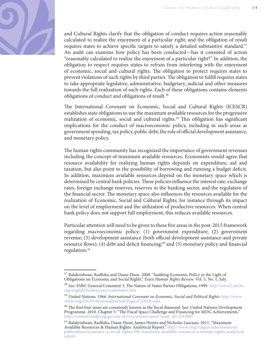

and Cultural Rights clarify that the obligation of conduct requires action reasonably calculated to realize the enjoyment of a particular right; and the obligation of result requires states to achieve specific targets to satisfy a detailed substantive standard. $37$ An audit can examine how policy has been conducted—has it consisted of action "reasonably calculated to realize the enjoyment of a particular right?" In addition, the obligation to respect requires states to refrain from interfering with the enjoyment of economic, social and cultural rights. The obligation to protect requires states to prevent violations of such rights by third parties. The obligation to fulfill requires states to take appropriate legislative, administrative, budgetary, judicial and other measures towards the full realization of such rights. Each of these obligations contains elements obligations of conduct and obligations of result.<sup>38</sup>

The International Covenant on Economic, Social and Cultural Rights (ICESCR) establishes state obligations to use the maximum available resources for the progressive realization of economic, social and cultural rights.<sup>39</sup> This obligation has significant implications for the conduct of macroeconomic policy, including in such areas as government spending, tax policy, public debt, the role of official development assistance, and monetary policy.

The human rights community has recognized the importance of government revenues including the concept of maximum available resources. Economists would agree that resource availability for realizing human rights depends on expenditure, aid and taxation, but also point to the possibility of borrowing and running a budget deficit. In addition, maximum available resources depend on the monetary space which is determined by central bank policies. These policies influence the interest rate, exchange rates, foreign exchange reserves, reserves in the banking sector, and the regulation of the financial sector. The monetary space also influences the resources available for the realization of Economic, Social and Cultural Rights; for instance through its impact on the level of employment and the utilization of productive resources. When central bank policy does not support full employment, this reduces available resources.

Particular attention will need to be given to these five areas in the post-2015 framework regarding macroeconomic policy: (1) government expenditure; (2) government revenue; (3) development assistance (both official development assistance and private resource flows); (4) debt and deficit financing;<sup>40</sup> and (5) monetary policy and financial regulation.<sup>41</sup>

<sup>&</sup>lt;sup>37</sup> Balakrishnan, Radhika and Diane Elson. 2008. "Auditing Economic Policy in the Light of Obligations on Economic and Social Rights." Essex Human Rights Review. Vol. 5, No. 1, July.

<sup>38</sup> See: ESRC General Comment 3, The Nature of States Parties Obligations, 1999. [http://www2.ohchr.](http://www2.ohchr.org/english/bodies/cescr/comments.htm) [org/english/bodies/cescr/comments.htm](http://www2.ohchr.org/english/bodies/cescr/comments.htm)

<sup>&</sup>lt;sup>39</sup> United Nations. 1966. International Covenant on Economic, Social and Political Rights. [http://www.](http://www.ohchr.org/EN/ProfessionalInterest/Pages/CESCR.aspx) [ohchr.org/EN/ProfessionalInterest/Pages/CESCR.aspx](http://www.ohchr.org/EN/ProfessionalInterest/Pages/CESCR.aspx)

 $40$  The first four areas are commonly known as the fiscal diamond. See: United Nations Development Programme. 2010. Chapter 5: "The Fiscal Space Challenge and Financing for MDG Achievements." [http://content.undp.org/go/cms-service/stream/asset/?asset\\_id=2223965](http://content.undp.org/go/cms-service/stream/asset/?asset_id=2223965)

<sup>&</sup>lt;sup>41</sup> Balakrishnan, Radhika, Diane Elson, James Heintz and Nicholas Lusciani. 2011. "Maximum Available Resources & Human Rights: Analytical Report." [http://www.cwgl.rutgers.edu/resources/](http://www.cwgl.rutgers.edu/resources/publications/economic-a-social-rights/380-maximum-available-resources-a-human-rights-analytical-report-) [publications/economic-a-social-rights/380-maximum-available-resources-a-human-rights-analytical](http://www.cwgl.rutgers.edu/resources/publications/economic-a-social-rights/380-maximum-available-resources-a-human-rights-analytical-report-)[report-](http://www.cwgl.rutgers.edu/resources/publications/economic-a-social-rights/380-maximum-available-resources-a-human-rights-analytical-report-)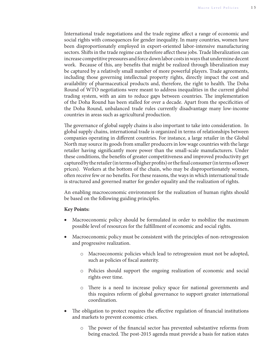International trade negotiations and the trade regime affect a range of economic and social rights with consequences for gender inequality. In many countries, women have been disproportionately employed in export-oriented labor-intensive manufacturing sectors. Shifts in the trade regime can therefore affect these jobs. Trade liberalization can increase competitive pressures and force down labor costs in ways that undermine decent work. Because of this, any benefits that might be realized through liberalization may be captured by a relatively small number of more powerful players. Trade agreements, including those governing intellectual property rights, directly impact the cost and availability of pharmaceutical products and, therefore, the right to health. The Doha Round of WTO negotiations were meant to address inequalities in the current global trading system, with an aim to reduce gaps between countries. The implementation of the Doha Round has been stalled for over a decade. Apart from the specificities of the Doha Round, unbalanced trade rules currently disadvantage many low-income countries in areas such as agricultural production.

The governance of global supply chains is also important to take into consideration. In global supply chains, international trade is organized in terms of relationships between companies operating in different countries. For instance, a large retailer in the Global North may source its goods from smaller producers in low wage countries with the large retailer having significantly more power than the small-scale manufacturers. Under these conditions, the benefits of greater competitiveness and improved productivity get captured by the retailer (in terms of higher profits) or the final consumer (in terms of lower prices). Workers at the bottom of the chain, who may be disproportionately women, often receive few or no benefits. For these reasons, the ways in which international trade is structured and governed matter for gender equality and the realization of rights.

An enabling macroeconomic environment for the realization of human rights should be based on the following guiding principles.

#### **Key Points:**

- Macroeconomic policy should be formulated in order to mobilize the maximum possible level of resources for the fulfillment of economic and social rights.
- Macroeconomic policy must be consistent with the principles of non-retrogression and progressive realization.
	- o Macroeconomic policies which lead to retrogression must not be adopted, such as policies of fiscal austerity.
	- o Policies should support the ongoing realization of economic and social rights over time.
	- $\circ$  There is a need to increase policy space for national governments and this requires reform of global governance to support greater international coordination.
- The obligation to protect requires the effective regulation of financial institutions and markets to prevent economic crises.
	- $\circ$  The power of the financial sector has prevented substantive reforms from being enacted. The post-2015 agenda must provide a basis for nation states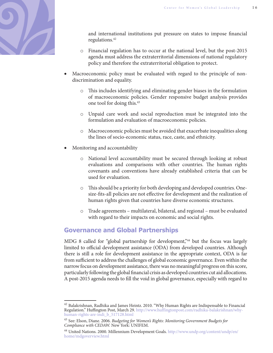

and international institutions put pressure on states to impose financial regulations.42

- o Financial regulation has to occur at the national level, but the post-2015 agenda must address the extraterritorial dimensions of national regulatory policy and therefore the extraterritorial obligation to protect.
- x Macroeconomic policy must be evaluated with regard to the principle of nondiscrimination and equality.
	- o This includes identifying and eliminating gender biases in the formulation of macroeconomic policies. Gender responsive budget analysis provides one tool for doing this.43
	- o Unpaid care work and social reproduction must be integrated into the formulation and evaluation of macroeconomic policies.
	- o Macroeconomic policies must be avoided that exacerbate inequalities along the lines of socio-economic status, race, caste, and ethnicity.
- x Monitoring and accountability
	- o National level accountability must be secured through looking at robust evaluations and comparisons with other countries. The human rights covenants and conventions have already established criteria that can be used for evaluation.
	- $\circ$  This should be a priority for both developing and developed countries. Onesize-fits-all policies are not effective for development and the realization of human rights given that countries have diverse economic structures.
	- o Trade agreements multilateral, bilateral, and regional must be evaluated with regard to their impacts on economic and social rights.

## **Governance and Global Partnerships**

MDG 8 called for "global partnership for development,"<sup>44</sup> but the focus was largely limited to official development assistance (ODA) from developed countries. Although there is still a role for development assistance in the appropriate context, ODA is far from sufficient to address the challenges of global economic governance. Even within the narrow focus on development assistance, there was no meaningful progress on this score, particularly following the global financial crisis as developed countries cut aid allocations. A post-2015 agenda needs to fill the void in global governance, especially with regard to

 $42$  Balakrishnan, Radhika and James Heintz. 2010. "Why Human Rights are Indispensable to Financial Regulation." Huffington Post, March 29. [http://www.huffingtonpost.com/radhika-balakrishnan/why](http://www.huffingtonpost.com/radhika-balakrishnan/why-human-rights-are-indi_b_517128.html)[human-rights-are-indi\\_b\\_517128.html](http://www.huffingtonpost.com/radhika-balakrishnan/why-human-rights-are-indi_b_517128.html)

<sup>&</sup>lt;sup>43</sup> See: Elson, Diane. 2006. Budgeting for Women's Rights: Monitoring Government Budgets for Compliance with CEDAW. New York: UNIFEM.

<sup>44</sup> United Nations. 2000. Millennium Development Goals. [http://www.undp.org/content/undp/en/](http://www.undp.org/content/undp/en/home/mdgoverview.html) [home/mdgoverview.html](http://www.undp.org/content/undp/en/home/mdgoverview.html)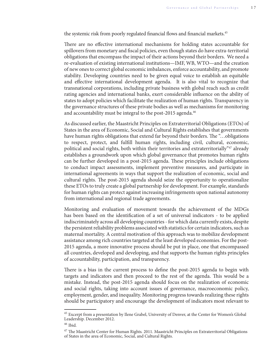the systemic risk from poorly regulated financial flows and financial markets.<sup>45</sup>

There are no effective international mechanisms for holding states accountable for spillovers from monetary and fiscal policies, even though states do have extra-territorial obligations that encompass the impact of their actions beyond their borders. We need a re-evaluation of existing international institutions—IMF, WB, WTO—and the creation of new ones to correct global economic imbalances, enforce accountability, and promote stability. Developing countries need to be given equal voice to establish an equitable and effective international development agenda. It is also vital to recognize that transnational corporations, including private business with global reach such as credit rating agencies and international banks, exert considerable influence on the ability of states to adopt policies which facilitate the realization of human rights. Transparency in the governance structures of these private bodies as well as mechanisms for monitoring and accountability must be integral to the post-2015 agenda.<sup>46</sup>

As discussed earlier, the Maastricht Principles on Extraterritorial Obligations (ETOs) of States in the area of Economic, Social and Cultural Rights establishes that governments have human rights obligations that extend far beyond their borders. The "...obligations" to respect, protect, and fulfill human rights, including civil, cultural, economic, political and social rights, both within their territories and extraterritorially"47 already establishes a groundwork upon which global governance that promotes human rights can be further developed in a post-2015 agenda. These principles include obligations to conduct impact assessments, implement preventive measures, and participate in international agreements in ways that support the realization of economic, social and cultural rights. The post-2015 agenda should seize the opportunity to operationalize these ETOs to truly create a global partnership for development. For example, standards for human rights can protect against increasing infringements upon national autonomy from international and regional trade agreements.

Monitoring and evaluation of movement towards the achievement of the MDGs has been based on the identification of a set of universal indicators - to be applied indiscriminately across all developing countries - for which data currently exists, despite the persistent reliability problems associated with statistics for certain indicators, such as maternal mortality. A central motivation of this approach was to mobilize development assistance among rich countries targeted at the least developed economies. For the post-2015 agenda, a more innovative process should be put in place, one that encompassed all countries, developed and developing, and that supports the human rights principles of accountability, participation, and transparency.

There is a bias in the current process to define the post-2015 agenda to begin with targets and indicators and then proceed to the rest of the agenda. This would be a mistake. Instead, the post-2015 agenda should focus on the realization of economic and social rights, taking into account issues of governance, macroeconomic policy, employment, gender, and inequality. Monitoring progress towards realizing these rights should be participatory and encourage the development of indicators most relevant to

<sup>&</sup>lt;sup>45</sup> Excerpt from a presentation by Ilene Grabel, University of Denver, at the Center for Women's Global Leadership. December 2012.

 $46$  Ibid.

 $^{47}$  The Maastricht Center for Human Rights. 2011. Maastricht Principles on Extraterritorial Obligations of States in the area of Economic, Social, and Cultural Rights.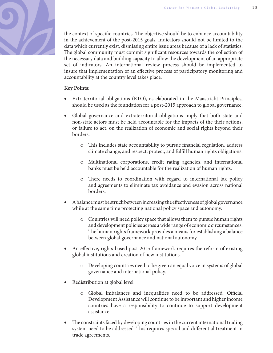

the context of specific countries. The objective should be to enhance accountability in the achievement of the post-2015 goals. Indicators should not be limited to the data which currently exist, dismissing entire issue areas because of a lack of statistics. The global community must commit significant resources towards the collection of the necessary data and building capacity to allow the development of an appropriate set of indicators. An international review process should be implemented to insure that implementation of an effective process of participatory monitoring and accountability at the country level takes place.

## **Key Points:**

- x Extraterritorial obligations (ETO), as elaborated in the Maastricht Principles, should be used as the foundation for a post-2015 approach to global governance.
- Global governance and extraterritorial obligations imply that both state and non-state actors must be held accountable for the impacts of the their actions, or failure to act, on the realization of economic and social rights beyond their borders.
	- $\circ$  This includes state accountability to pursue financial regulation, address climate change, and respect, protect, and fulfill human rights obligations.
	- o Multinational corporations, credit rating agencies, and international banks must be held accountable for the realization of human rights.
	- o There needs to coordination with regard to international tax policy and agreements to eliminate tax avoidance and evasion across national borders.
- $\bullet$  A balance must be struck between increasing the effectiveness of global governance while at the same time protecting national policy space and autonomy.
	- o Countries will need policy space that allows them to pursue human rights and development policies across a wide range of economic circumstances. The human rights framework provides a means for establishing a balance between global governance and national autonomy.
- An effective, rights-based post-2015 framework requires the reform of existing global institutions and creation of new institutions.
	- o Developing countries need to be given an equal voice in systems of global governance and international policy.
- Redistribution at global level
	- $\circ$  Global imbalances and inequalities need to be addressed. Official Development Assistance will continue to be important and higher income countries have a responsibility to continue to support development assistance.
- The constraints faced by developing countries in the current international trading system need to be addressed. This requires special and differential treatment in trade agreements.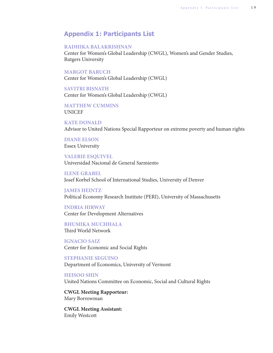## **Appendix 1: Participants List**

#### **RADHIKA BALAKRISHNAN**

Center for Women's Global Leadership (CWGL), Women's and Gender Studies, Rutgers University

#### **MARGOT BARUCH**

Center for Women's Global Leadership (CWGL)

**SAVITRI BISNATH** Center for Women's Global Leadership (CWGL)

**MATTHEW CUMMINS** UNICEF

**KATE DONALD** Advisor to United Nations Special Rapporteur on extreme poverty and human rights

## **DIANE ELSON** Essex University

**VALERIE ESQUIVEL** Universidad Nacional de General Sarmiento

**ILENE GRABEL** Josef Korbel School of International Studies, University of Denver

**JAMES HEINTZ** Political Economy Research Institute (PERI), University of Massachusetts

**INDRIA HIRWAY** Center for Development Alternatives

**BHUMIKA MUCHHALA** Third World Network

**IGNACIO SAIZ** Center for Economic and Social Rights

**STEPHANIE SEGUINO** Department of Economics, University of Vermont

**HEISOO SHIN** United Nations Committee on Economic, Social and Cultural Rights

**CWGL Meeting Rapporteur:** Mary Borrowman

**CWGL Meeting Assistant:** Emily Westcott